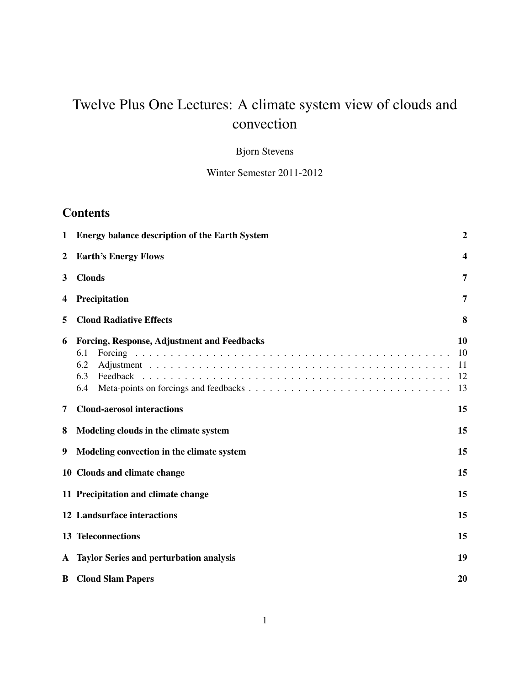# Twelve Plus One Lectures: A climate system view of clouds and convection

Bjorn Stevens

Winter Semester 2011-2012

# **Contents**

| 1 | <b>Energy balance description of the Earth System</b>                          | $\boldsymbol{2}$           |
|---|--------------------------------------------------------------------------------|----------------------------|
| 2 | <b>Earth's Energy Flows</b>                                                    | 4                          |
| 3 | <b>Clouds</b>                                                                  | 7                          |
| 4 | Precipitation                                                                  | 7                          |
| 5 | <b>Cloud Radiative Effects</b>                                                 | 8                          |
| 6 | <b>Forcing, Response, Adjustment and Feedbacks</b><br>6.1<br>6.2<br>6.3<br>6.4 | 10<br>10<br>11<br>12<br>13 |
| 7 | <b>Cloud-aerosol interactions</b>                                              | 15                         |
| 8 | Modeling clouds in the climate system                                          | 15                         |
| 9 | Modeling convection in the climate system                                      | 15                         |
|   | 10 Clouds and climate change                                                   | 15                         |
|   | 11 Precipitation and climate change                                            | 15                         |
|   | 12 Landsurface interactions                                                    | 15                         |
|   | <b>13 Teleconnections</b>                                                      | 15                         |
|   | A Taylor Series and perturbation analysis                                      | 19                         |
|   | <b>B</b> Cloud Slam Papers                                                     | 20                         |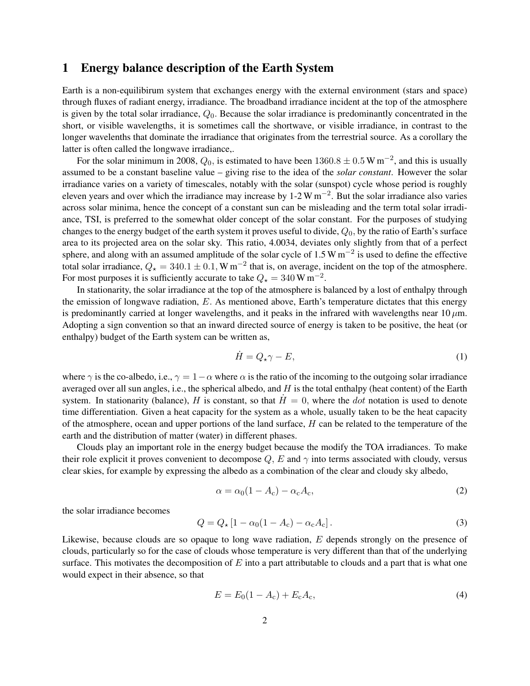## <span id="page-1-0"></span>1 Energy balance description of the Earth System

Earth is a non-equilibirum system that exchanges energy with the external environment (stars and space) through fluxes of radiant energy, irradiance. The broadband irradiance incident at the top of the atmosphere is given by the total solar irradiance,  $Q_0$ . Because the solar irradiance is predominantly concentrated in the short, or visible wavelengths, it is sometimes call the shortwave, or visible irradiance, in contrast to the longer wavelenths that dominate the irradiance that originates from the terrestrial source. As a corollary the latter is often called the longwave irradiance,.

For the solar minimum in 2008,  $Q_0$ , is estimated to have been  $1360.8 \pm 0.5$  W m<sup>-2</sup>, and this is usually assumed to be a constant baseline value – giving rise to the idea of the *solar constant*. However the solar irradiance varies on a variety of timescales, notably with the solar (sunspot) cycle whose period is roughly eleven years and over which the irradiance may increase by  $1\n-2$  W m<sup>-2</sup>. But the solar irradiance also varies across solar minima, hence the concept of a constant sun can be misleading and the term total solar irradiance, TSI, is preferred to the somewhat older concept of the solar constant. For the purposes of studying changes to the energy budget of the earth system it proves useful to divide,  $Q_0$ , by the ratio of Earth's surface area to its projected area on the solar sky. This ratio, 4.0034, deviates only slightly from that of a perfect sphere, and along with an assumed amplitude of the solar cycle of 1.5 W m<sup>-2</sup> is used to define the effective total solar irradiance,  $Q_{\star} = 340.1 \pm 0.1$ , W m<sup>-2</sup> that is, on average, incident on the top of the atmosphere. For most purposes it is sufficiently accurate to take  $Q_{\star} = 340 \,\mathrm{W m^{-2}}$ .

In stationarity, the solar irradiance at the top of the atmosphere is balanced by a lost of enthalpy through the emission of longwave radiation,  $E$ . As mentioned above, Earth's temperature dictates that this energy is predominantly carried at longer wavelengths, and it peaks in the infrared with wavelengths near  $10 \mu m$ . Adopting a sign convention so that an inward directed source of energy is taken to be positive, the heat (or enthalpy) budget of the Earth system can be written as,

$$
\dot{H} = Q_{\star}\gamma - E,\tag{1}
$$

where  $\gamma$  is the co-albedo, i.e.,  $\gamma = 1 - \alpha$  where  $\alpha$  is the ratio of the incoming to the outgoing solar irradiance averaged over all sun angles, i.e., the spherical albedo, and  $H$  is the total enthalpy (heat content) of the Earth system. In stationarity (balance), H is constant, so that  $H = 0$ , where the *dot* notation is used to denote time differentiation. Given a heat capacity for the system as a whole, usually taken to be the heat capacity of the atmosphere, ocean and upper portions of the land surface,  $H$  can be related to the temperature of the earth and the distribution of matter (water) in different phases.

Clouds play an important role in the energy budget because the modify the TOA irradiances. To make their role explicit it proves convenient to decompose Q, E and  $\gamma$  into terms associated with cloudy, versus clear skies, for example by expressing the albedo as a combination of the clear and cloudy sky albedo,

$$
\alpha = \alpha_0 (1 - A_c) - \alpha_c A_c, \qquad (2)
$$

the solar irradiance becomes

<span id="page-1-1"></span>
$$
Q = Q_{\star} \left[ 1 - \alpha_0 (1 - A_{\rm c}) - \alpha_{\rm c} A_{\rm c} \right]. \tag{3}
$$

Likewise, because clouds are so opaque to long wave radiation,  $E$  depends strongly on the presence of clouds, particularly so for the case of clouds whose temperature is very different than that of the underlying surface. This motivates the decomposition of  $E$  into a part attributable to clouds and a part that is what one would expect in their absence, so that

<span id="page-1-2"></span>
$$
E = E_0(1 - A_c) + E_c A_c,
$$
\n(4)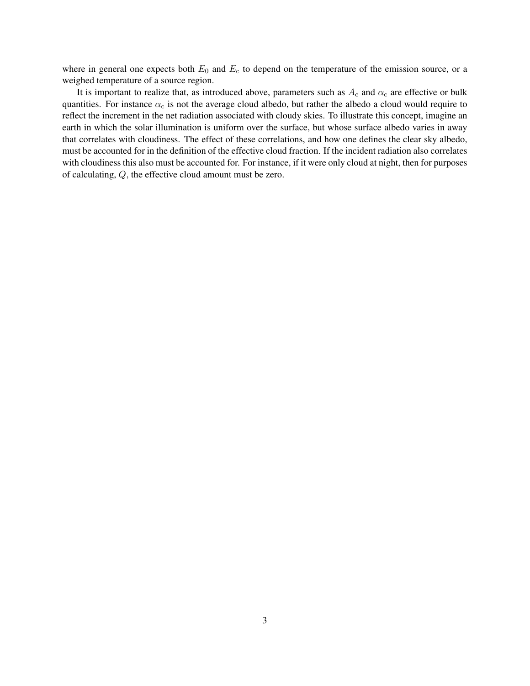where in general one expects both  $E_0$  and  $E_c$  to depend on the temperature of the emission source, or a weighed temperature of a source region.

It is important to realize that, as introduced above, parameters such as  $A_c$  and  $\alpha_c$  are effective or bulk quantities. For instance  $\alpha_c$  is not the average cloud albedo, but rather the albedo a cloud would require to reflect the increment in the net radiation associated with cloudy skies. To illustrate this concept, imagine an earth in which the solar illumination is uniform over the surface, but whose surface albedo varies in away that correlates with cloudiness. The effect of these correlations, and how one defines the clear sky albedo, must be accounted for in the definition of the effective cloud fraction. If the incident radiation also correlates with cloudiness this also must be accounted for. For instance, if it were only cloud at night, then for purposes of calculating, Q, the effective cloud amount must be zero.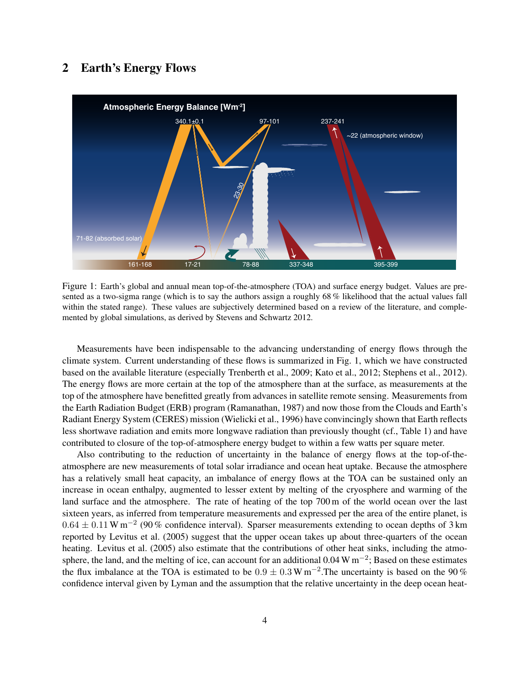# <span id="page-3-0"></span>2 Earth's Energy Flows



<span id="page-3-1"></span>Figure 1: Earth's global and annual mean top-of-the-atmosphere (TOA) and surface energy budget. Values are presented as a two-sigma range (which is to say the authors assign a roughly 68 % likelihood that the actual values fall within the stated range). These values are subjectively determined based on a review of the literature, and complemented by global simulations, as derived by Stevens and Schwartz 2012.

Measurements have been indispensable to the advancing understanding of energy flows through the climate system. Current understanding of these flows is summarized in Fig. [1,](#page-3-1) which we have constructed based on the available literature (especially [Trenberth et al.,](#page-17-0) [2009;](#page-17-0) [Kato et al.,](#page-15-0) [2012;](#page-15-0) [Stephens et al.,](#page-17-1) [2012\)](#page-17-1). The energy flows are more certain at the top of the atmosphere than at the surface, as measurements at the top of the atmosphere have benefitted greatly from advances in satellite remote sensing. Measurements from the Earth Radiation Budget (ERB) program [\(Ramanathan,](#page-16-0) [1987\)](#page-16-0) and now those from the Clouds and Earth's Radiant Energy System (CERES) mission [\(Wielicki et al.,](#page-17-2) [1996\)](#page-17-2) have convincingly shown that Earth reflects less shortwave radiation and emits more longwave radiation than previously thought (cf., Table [1\)](#page-4-0) and have contributed to closure of the top-of-atmosphere energy budget to within a few watts per square meter.

Also contributing to the reduction of uncertainty in the balance of energy flows at the top-of-theatmosphere are new measurements of total solar irradiance and ocean heat uptake. Because the atmosphere has a relatively small heat capacity, an imbalance of energy flows at the TOA can be sustained only an increase in ocean enthalpy, augmented to lesser extent by melting of the cryosphere and warming of the land surface and the atmosphere. The rate of heating of the top 700 m of the world ocean over the last sixteen years, as inferred from temperature measurements and expressed per the area of the entire planet, is  $0.64 \pm 0.11$  W m<sup>-2</sup> (90% confidence interval). Sparser measurements extending to ocean depths of 3 km reported by [Levitus et al.](#page-16-1) [\(2005\)](#page-16-1) suggest that the upper ocean takes up about three-quarters of the ocean heating. [Levitus et al.](#page-16-1) [\(2005\)](#page-16-1) also estimate that the contributions of other heat sinks, including the atmosphere, the land, and the melting of ice, can account for an additional 0.04 W m<sup>-2</sup>; Based on these estimates the flux imbalance at the TOA is estimated to be  $0.9 \pm 0.3$  W m<sup>-2</sup>. The uncertainty is based on the 90% confidence interval given by Lyman and the assumption that the relative uncertainty in the deep ocean heat-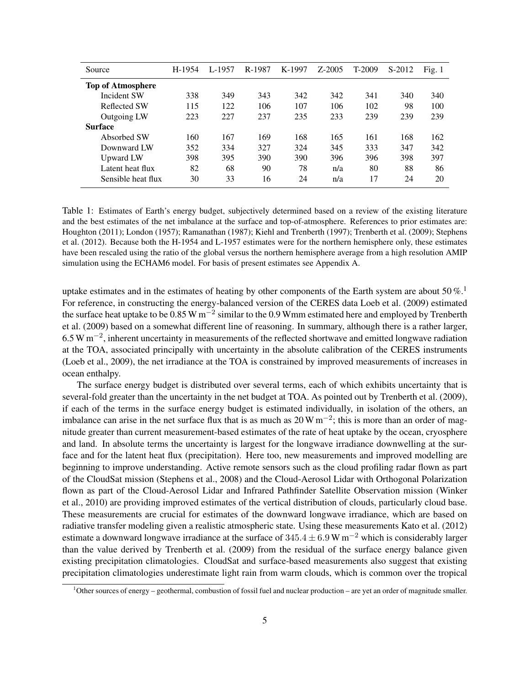| Source                   | H-1954 | L-1957 | R-1987 | K-1997 | $Z-2005$ | T-2009 | S-2012 | Fig. $1$ |
|--------------------------|--------|--------|--------|--------|----------|--------|--------|----------|
| <b>Top of Atmosphere</b> |        |        |        |        |          |        |        |          |
| <b>Incident SW</b>       | 338    | 349    | 343    | 342    | 342      | 341    | 340    | 340      |
| Reflected SW             | 115    | 122    | 106    | 107    | 106      | 102    | 98     | 100      |
| <b>Outgoing LW</b>       | 223    | 227    | 237    | 235    | 233      | 239    | 239    | 239      |
| <b>Surface</b>           |        |        |        |        |          |        |        |          |
| Absorbed SW              | 160    | 167    | 169    | 168    | 165      | 161    | 168    | 162      |
| Downward LW              | 352    | 334    | 327    | 324    | 345      | 333    | 347    | 342      |
| <b>Upward LW</b>         | 398    | 395    | 390    | 390    | 396      | 396    | 398    | 397      |
| Latent heat flux         | 82     | 68     | 90     | 78     | n/a      | 80     | 88     | 86       |
| Sensible heat flux       | 30     | 33     | 16     | 24     | n/a      | 17     | 24     | 20       |

<span id="page-4-0"></span>Table 1: Estimates of Earth's energy budget, subjectively determined based on a review of the existing literature and the best estimates of the net imbalance at the surface and top-of-atmosphere. References to prior estimates are: [Houghton](#page-15-1) [\(2011\)](#page-15-1); [London](#page-16-2) [\(1957\)](#page-16-2); [Ramanathan](#page-16-0) [\(1987\)](#page-16-0); [Kiehl and Trenberth](#page-15-2) [\(1997\)](#page-15-2); [Trenberth et al.](#page-17-0) [\(2009\)](#page-17-0); [Stephens](#page-17-1) [et al.](#page-17-1) [\(2012\)](#page-17-1). Because both the H-1954 and L-1957 estimates were for the northern hemisphere only, these estimates have been rescaled using the ratio of the global versus the northern hemisphere average from a high resolution AMIP simulation using the ECHAM6 model. For basis of present estimates see Appendix A.

uptake estimates and in the estimates of heating by other components of the Earth system are about 50  $\%$ .<sup>[1](#page-4-1)</sup> For reference, in constructing the energy-balanced version of the CERES data [Loeb et al.](#page-16-3) [\(2009\)](#page-16-3) estimated the surface heat uptake to be  $0.85 \text{ W m}^{-2}$  similar to the  $0.9 \text{ Wmm}$  estimated here and employed by [Trenberth](#page-17-0) [et al.](#page-17-0) [\(2009\)](#page-17-0) based on a somewhat different line of reasoning. In summary, although there is a rather larger, 6.5 W m<sup>-2</sup>, inherent uncertainty in measurements of the reflected shortwave and emitted longwave radiation at the TOA, associated principally with uncertainty in the absolute calibration of the CERES instruments [\(Loeb et al.,](#page-16-3) [2009\)](#page-16-3), the net irradiance at the TOA is constrained by improved measurements of increases in ocean enthalpy.

The surface energy budget is distributed over several terms, each of which exhibits uncertainty that is several-fold greater than the uncertainty in the net budget at TOA. As pointed out by [Trenberth et al.](#page-17-0) [\(2009\)](#page-17-0), if each of the terms in the surface energy budget is estimated individually, in isolation of the others, an imbalance can arise in the net surface flux that is as much as  $20 \text{ W m}^{-2}$ ; this is more than an order of magnitude greater than current measurement-based estimates of the rate of heat uptake by the ocean, cryosphere and land. In absolute terms the uncertainty is largest for the longwave irradiance downwelling at the surface and for the latent heat flux (precipitation). Here too, new measurements and improved modelling are beginning to improve understanding. Active remote sensors such as the cloud profiling radar flown as part of the CloudSat mission [\(Stephens et al.,](#page-17-3) [2008\)](#page-17-3) and the Cloud-Aerosol Lidar with Orthogonal Polarization flown as part of the Cloud-Aerosol Lidar and Infrared Pathfinder Satellite Observation mission [\(Winker](#page-17-4) [et al.,](#page-17-4) [2010\)](#page-17-4) are providing improved estimates of the vertical distribution of clouds, particularly cloud base. These measurements are crucial for estimates of the downward longwave irradiance, which are based on radiative transfer modeling given a realistic atmospheric state. Using these measurements [Kato et al.](#page-15-0) [\(2012\)](#page-15-0) estimate a downward longwave irradiance at the surface of  $345.4 \pm 6.9$  W m<sup>-2</sup> which is considerably larger than the value derived by [Trenberth et al.](#page-17-0) [\(2009\)](#page-17-0) from the residual of the surface energy balance given existing precipitation climatologies. CloudSat and surface-based measurements also suggest that existing precipitation climatologies underestimate light rain from warm clouds, which is common over the tropical

<span id="page-4-1"></span> $1$ Other sources of energy – geothermal, combustion of fossil fuel and nuclear production – are yet an order of magnitude smaller.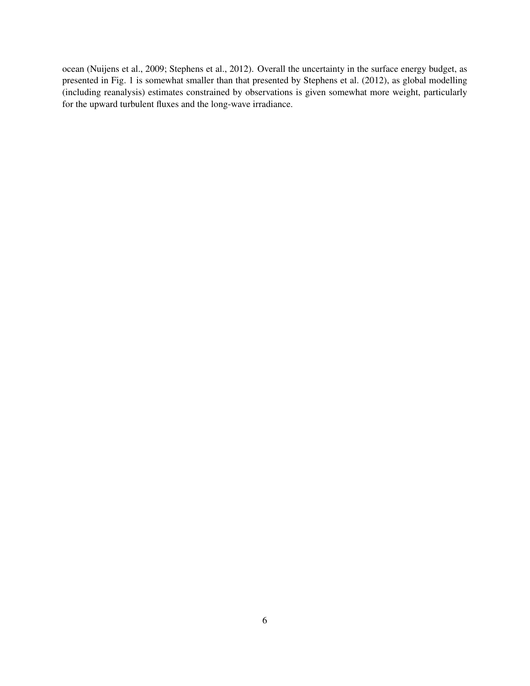ocean [\(Nuijens et al.,](#page-16-4) [2009;](#page-16-4) [Stephens et al.,](#page-17-1) [2012\)](#page-17-1). Overall the uncertainty in the surface energy budget, as presented in Fig. [1](#page-3-1) is somewhat smaller than that presented by [Stephens et al.](#page-17-1) [\(2012\)](#page-17-1), as global modelling (including reanalysis) estimates constrained by observations is given somewhat more weight, particularly for the upward turbulent fluxes and the long-wave irradiance.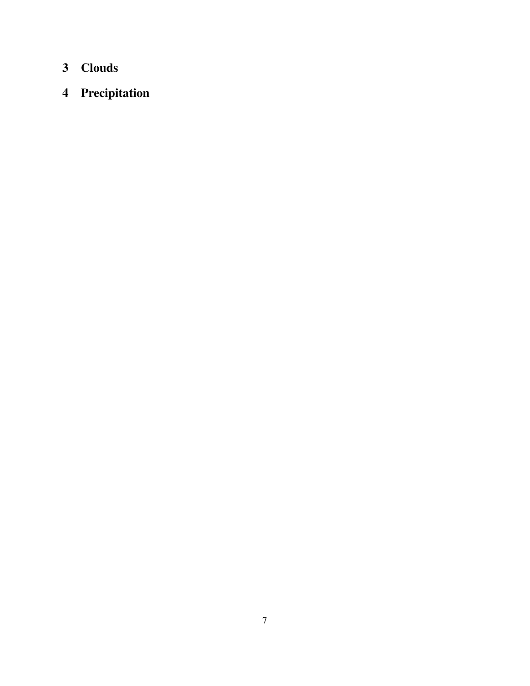# <span id="page-6-0"></span>3 Clouds

<span id="page-6-1"></span>4 Precipitation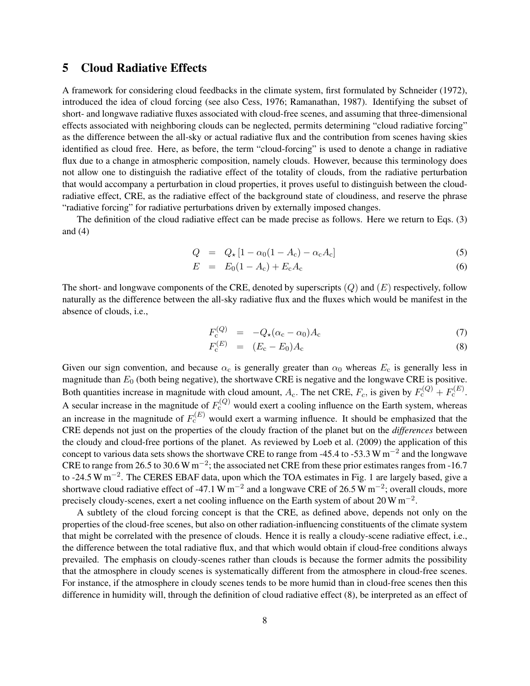## <span id="page-7-0"></span>5 Cloud Radiative Effects

A framework for considering cloud feedbacks in the climate system, first formulated by [Schneider](#page-16-5) [\(1972\)](#page-16-5), introduced the idea of cloud forcing (see also [Cess,](#page-15-3) [1976;](#page-15-3) [Ramanathan,](#page-16-0) [1987\)](#page-16-0). Identifying the subset of short- and longwave radiative fluxes associated with cloud-free scenes, and assuming that three-dimensional effects associated with neighboring clouds can be neglected, permits determining "cloud radiative forcing" as the difference between the all-sky or actual radiative flux and the contribution from scenes having skies identified as cloud free. Here, as before, the term "cloud-forcing" is used to denote a change in radiative flux due to a change in atmospheric composition, namely clouds. However, because this terminology does not allow one to distinguish the radiative effect of the totality of clouds, from the radiative perturbation that would accompany a perturbation in cloud properties, it proves useful to distinguish between the cloudradiative effect, CRE, as the radiative effect of the background state of cloudiness, and reserve the phrase "radiative forcing" for radiative perturbations driven by externally imposed changes.

The definition of the cloud radiative effect can be made precise as follows. Here we return to Eqs. [\(3\)](#page-1-1) and  $(4)$ 

$$
Q = Q_{\star} \left[ 1 - \alpha_0 (1 - A_{\rm c}) - \alpha_{\rm c} A_{\rm c} \right] \tag{5}
$$

$$
E = E_0(1 - A_c) + E_c A_c \tag{6}
$$

The short- and longwave components of the CRE, denoted by superscripts  $(Q)$  and  $(E)$  respectively, follow naturally as the difference between the all-sky radiative flux and the fluxes which would be manifest in the absence of clouds, i.e.,

$$
F_c^{(Q)} = -Q_\star(\alpha_c - \alpha_0)A_c \tag{7}
$$

<span id="page-7-1"></span>
$$
F_{\rm c}^{(E)} = (E_{\rm c} - E_0) A_{\rm c}
$$
 (8)

Given our sign convention, and because  $\alpha_c$  is generally greater than  $\alpha_0$  whereas  $E_c$  is generally less in magnitude than  $E_0$  (both being negative), the shortwave CRE is negative and the longwave CRE is positive. Both quantities increase in magnitude with cloud amount,  $A_c$ . The net CRE,  $F_c$ , is given by  $F_c^{(Q)} + F_c^{(E)}$ . A secular increase in the magnitude of  $F_c^{(Q)}$  would exert a cooling influence on the Earth system, whereas an increase in the magnitude of  $F_c^{(E)}$  would exert a warming influence. It should be emphasized that the CRE depends not just on the properties of the cloudy fraction of the planet but on the *differences* between the cloudy and cloud-free portions of the planet. As reviewed by [Loeb et al.](#page-16-3) [\(2009\)](#page-16-3) the application of this concept to various data sets shows the shortwave CRE to range from -45.4 to -53.3 W m<sup>-2</sup> and the longwave CRE to range from 26.5 to 30.6 W m<sup>-2</sup>; the associated net CRE from these prior estimates ranges from -16.7 to -24.5 W m<sup>-2</sup>. The CERES EBAF data, upon which the TOA estimates in Fig. [1](#page-3-1) are largely based, give a shortwave cloud radiative effect of -47.1 W m<sup>-2</sup> and a longwave CRE of 26.5 W m<sup>-2</sup>; overall clouds, more precisely cloudy-scenes, exert a net cooling influence on the Earth system of about 20 W m<sup>-2</sup>.

A subtlety of the cloud forcing concept is that the CRE, as defined above, depends not only on the properties of the cloud-free scenes, but also on other radiation-influencing constituents of the climate system that might be correlated with the presence of clouds. Hence it is really a cloudy-scene radiative effect, i.e., the difference between the total radiative flux, and that which would obtain if cloud-free conditions always prevailed. The emphasis on cloudy-scenes rather than clouds is because the former admits the possibility that the atmosphere in cloudy scenes is systematically different from the atmosphere in cloud-free scenes. For instance, if the atmosphere in cloudy scenes tends to be more humid than in cloud-free scenes then this difference in humidity will, through the definition of cloud radiative effect [\(8\)](#page-7-1), be interpreted as an effect of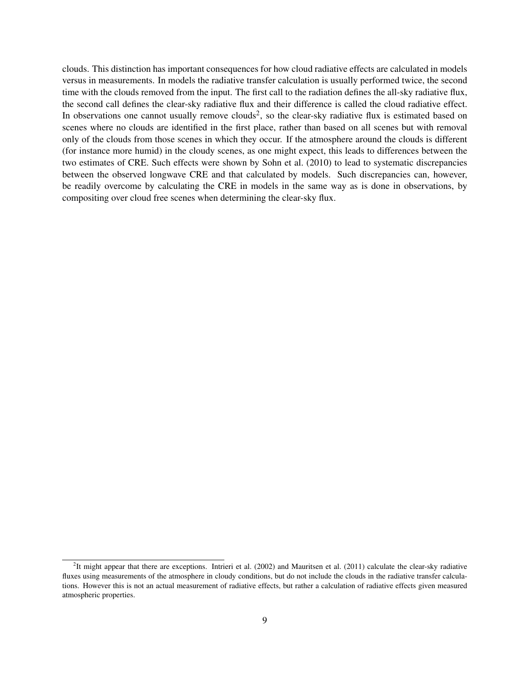clouds. This distinction has important consequences for how cloud radiative effects are calculated in models versus in measurements. In models the radiative transfer calculation is usually performed twice, the second time with the clouds removed from the input. The first call to the radiation defines the all-sky radiative flux, the second call defines the clear-sky radiative flux and their difference is called the cloud radiative effect. In observations one cannot usually remove clouds<sup>[2](#page-8-0)</sup>, so the clear-sky radiative flux is estimated based on scenes where no clouds are identified in the first place, rather than based on all scenes but with removal only of the clouds from those scenes in which they occur. If the atmosphere around the clouds is different (for instance more humid) in the cloudy scenes, as one might expect, this leads to differences between the two estimates of CRE. Such effects were shown by [Sohn et al.](#page-16-6) [\(2010\)](#page-16-6) to lead to systematic discrepancies between the observed longwave CRE and that calculated by models. Such discrepancies can, however, be readily overcome by calculating the CRE in models in the same way as is done in observations, by compositing over cloud free scenes when determining the clear-sky flux.

<span id="page-8-0"></span> ${}^{2}$ It might appear that there are exceptions. [Intrieri et al.](#page-15-4) [\(2002\)](#page-15-4) and [Mauritsen et al.](#page-16-7) [\(2011\)](#page-16-7) calculate the clear-sky radiative fluxes using measurements of the atmosphere in cloudy conditions, but do not include the clouds in the radiative transfer calculations. However this is not an actual measurement of radiative effects, but rather a calculation of radiative effects given measured atmospheric properties.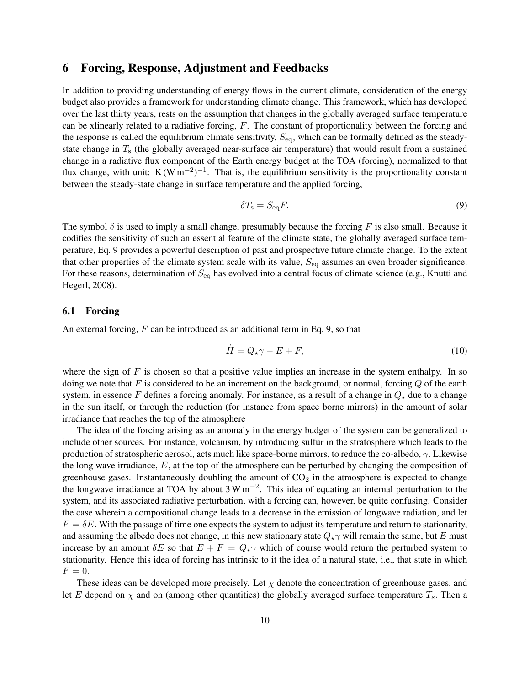### <span id="page-9-0"></span>6 Forcing, Response, Adjustment and Feedbacks

In addition to providing understanding of energy flows in the current climate, consideration of the energy budget also provides a framework for understanding climate change. This framework, which has developed over the last thirty years, rests on the assumption that changes in the globally averaged surface temperature can be xlinearly related to a radiative forcing, F. The constant of proportionality between the forcing and the response is called the equilibrium climate sensitivity,  $S_{eq}$ , which can be formally defined as the steadystate change in  $T<sub>s</sub>$  (the globally averaged near-surface air temperature) that would result from a sustained change in a radiative flux component of the Earth energy budget at the TOA (forcing), normalized to that flux change, with unit:  $K(Wm^{-2})^{-1}$ . That is, the equilibrium sensitivity is the proportionality constant between the steady-state change in surface temperature and the applied forcing,

<span id="page-9-2"></span>
$$
\delta T_{\rm s} = S_{\rm eq} F. \tag{9}
$$

The symbol  $\delta$  is used to imply a small change, presumably because the forcing F is also small. Because it codifies the sensitivity of such an essential feature of the climate state, the globally averaged surface temperature, Eq. [9](#page-9-2) provides a powerful description of past and prospective future climate change. To the extent that other properties of the climate system scale with its value,  $S_{eq}$  assumes an even broader significance. For these reasons, determination of  $S_{eq}$  has evolved into a central focus of climate science (e.g., [Knutti and](#page-16-8) [Hegerl,](#page-16-8) [2008\)](#page-16-8).

#### <span id="page-9-1"></span>6.1 Forcing

An external forcing,  $F$  can be introduced as an additional term in Eq. [9,](#page-9-2) so that

<span id="page-9-3"></span>
$$
\dot{H} = Q_{\star}\gamma - E + F,\tag{10}
$$

where the sign of  $F$  is chosen so that a positive value implies an increase in the system enthalpy. In so doing we note that F is considered to be an increment on the background, or normal, forcing  $Q$  of the earth system, in essence F defines a forcing anomaly. For instance, as a result of a change in  $Q_{\star}$  due to a change in the sun itself, or through the reduction (for instance from space borne mirrors) in the amount of solar irradiance that reaches the top of the atmosphere

The idea of the forcing arising as an anomaly in the energy budget of the system can be generalized to include other sources. For instance, volcanism, by introducing sulfur in the stratosphere which leads to the production of stratospheric aerosol, acts much like space-borne mirrors, to reduce the co-albedo,  $\gamma$ . Likewise the long wave irradiance,  $E$ , at the top of the atmosphere can be perturbed by changing the composition of greenhouse gases. Instantaneously doubling the amount of  $CO<sub>2</sub>$  in the atmosphere is expected to change the longwave irradiance at TOA by about  $3 W m^{-2}$ . This idea of equating an internal perturbation to the system, and its associated radiative perturbation, with a forcing can, however, be quite confusing. Consider the case wherein a compositional change leads to a decrease in the emission of longwave radiation, and let  $F = \delta E$ . With the passage of time one expects the system to adjust its temperature and return to stationarity, and assuming the albedo does not change, in this new stationary state  $Q_{\star}\gamma$  will remain the same, but E must increase by an amount  $\delta E$  so that  $E + F = Q_{\star} \gamma$  which of course would return the perturbed system to stationarity. Hence this idea of forcing has intrinsic to it the idea of a natural state, i.e., that state in which  $F=0.$ 

These ideas can be developed more precisely. Let  $\chi$  denote the concentration of greenhouse gases, and let E depend on  $\chi$  and on (among other quantities) the globally averaged surface temperature  $T_s$ . Then a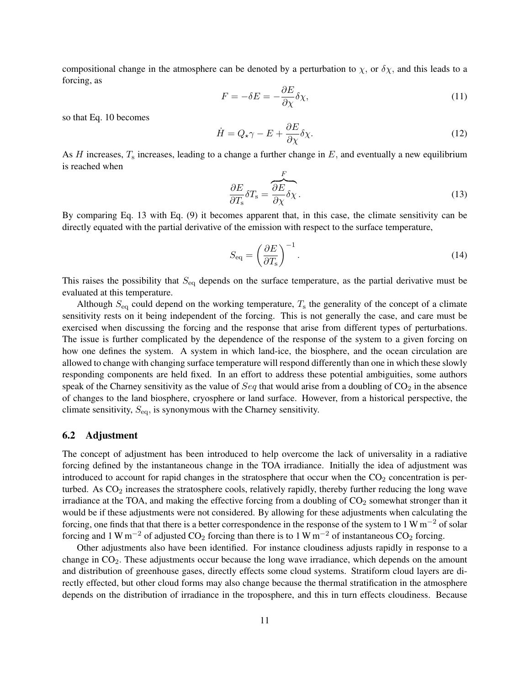compositional change in the atmosphere can be denoted by a perturbation to  $\chi$ , or  $\delta\chi$ , and this leads to a forcing, as

$$
F = -\delta E = -\frac{\partial E}{\partial \chi} \delta \chi,\tag{11}
$$

so that Eq. [10](#page-9-3) becomes

$$
\dot{H} = Q_{\star}\gamma - E + \frac{\partial E}{\partial \chi}\delta\chi.
$$
\n(12)

As H increases,  $T_s$  increases, leading to a change a further change in E, and eventually a new equilibrium is reached when

<span id="page-10-1"></span>
$$
\frac{\partial E}{\partial T_{\rm s}} \delta T_{\rm s} = \frac{\partial E}{\partial \chi} \delta \chi \,. \tag{13}
$$

By comparing Eq. [13](#page-10-1) with Eq. [\(9\)](#page-9-2) it becomes apparent that, in this case, the climate sensitivity can be directly equated with the partial derivative of the emission with respect to the surface temperature,

$$
S_{\text{eq}} = \left(\frac{\partial E}{\partial T_{\text{s}}}\right)^{-1}.\tag{14}
$$

This raises the possibility that  $S_{\text{eq}}$  depends on the surface temperature, as the partial derivative must be evaluated at this temperature.

Although  $S_{eq}$  could depend on the working temperature,  $T_s$  the generality of the concept of a climate sensitivity rests on it being independent of the forcing. This is not generally the case, and care must be exercised when discussing the forcing and the response that arise from different types of perturbations. The issue is further complicated by the dependence of the response of the system to a given forcing on how one defines the system. A system in which land-ice, the biosphere, and the ocean circulation are allowed to change with changing surface temperature will respond differently than one in which these slowly responding components are held fixed. In an effort to address these potential ambiguities, some authors speak of the Charney sensitivity as the value of  $Seq$  that would arise from a doubling of  $CO<sub>2</sub>$  in the absence of changes to the land biosphere, cryosphere or land surface. However, from a historical perspective, the climate sensitivity,  $S_{eq}$ , is synonymous with the Charney sensitivity.

#### <span id="page-10-0"></span>6.2 Adjustment

The concept of adjustment has been introduced to help overcome the lack of universality in a radiative forcing defined by the instantaneous change in the TOA irradiance. Initially the idea of adjustment was introduced to account for rapid changes in the stratosphere that occur when the  $CO<sub>2</sub>$  concentration is perturbed. As  $CO<sub>2</sub>$  increases the stratosphere cools, relatively rapidly, thereby further reducing the long wave irradiance at the TOA, and making the effective forcing from a doubling of  $CO<sub>2</sub>$  somewhat stronger than it would be if these adjustments were not considered. By allowing for these adjustments when calculating the forcing, one finds that that there is a better correspondence in the response of the system to 1 W  $m^{-2}$  of solar forcing and 1 W m<sup>-2</sup> of adjusted  $CO_2$  forcing than there is to 1 W m<sup>-2</sup> of instantaneous  $CO_2$  forcing.

Other adjustments also have been identified. For instance cloudiness adjusts rapidly in response to a change in CO2. These adjustments occur because the long wave irradiance, which depends on the amount and distribution of greenhouse gases, directly effects some cloud systems. Stratiform cloud layers are directly effected, but other cloud forms may also change because the thermal stratification in the atmosphere depends on the distribution of irradiance in the troposphere, and this in turn effects cloudiness. Because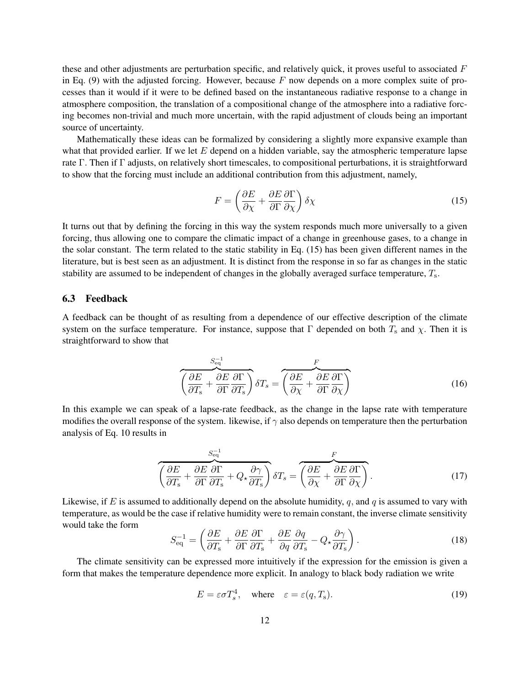these and other adjustments are perturbation specific, and relatively quick, it proves useful to associated F in Eq. [\(9\)](#page-9-2) with the adjusted forcing. However, because  $F$  now depends on a more complex suite of processes than it would if it were to be defined based on the instantaneous radiative response to a change in atmosphere composition, the translation of a compositional change of the atmosphere into a radiative forcing becomes non-trivial and much more uncertain, with the rapid adjustment of clouds being an important source of uncertainty.

Mathematically these ideas can be formalized by considering a slightly more expansive example than what that provided earlier. If we let  $E$  depend on a hidden variable, say the atmospheric temperature lapse rate Γ. Then if Γ adjusts, on relatively short timescales, to compositional perturbations, it is straightforward to show that the forcing must include an additional contribution from this adjustment, namely,

<span id="page-11-1"></span>
$$
F = \left(\frac{\partial E}{\partial \chi} + \frac{\partial E}{\partial \Gamma} \frac{\partial \Gamma}{\partial \chi}\right) \delta \chi \tag{15}
$$

It turns out that by defining the forcing in this way the system responds much more universally to a given forcing, thus allowing one to compare the climatic impact of a change in greenhouse gases, to a change in the solar constant. The term related to the static stability in Eq. [\(15\)](#page-11-1) has been given different names in the literature, but is best seen as an adjustment. It is distinct from the response in so far as changes in the static stability are assumed to be independent of changes in the globally averaged surface temperature,  $T_s$ .

#### <span id="page-11-0"></span>6.3 Feedback

A feedback can be thought of as resulting from a dependence of our effective description of the climate system on the surface temperature. For instance, suppose that  $\Gamma$  depended on both  $T_s$  and  $\chi$ . Then it is straightforward to show that

$$
\overbrace{\left(\frac{\partial E}{\partial T_{\rm s}} + \frac{\partial E}{\partial T} \frac{\partial \Gamma}{\partial T_{\rm s}}\right)}^{S_{\rm eq}^{-1}} \delta T_s = \overbrace{\left(\frac{\partial E}{\partial \chi} + \frac{\partial E}{\partial T} \frac{\partial \Gamma}{\partial \chi}\right)}^{F} \tag{16}
$$

In this example we can speak of a lapse-rate feedback, as the change in the lapse rate with temperature modifies the overall response of the system. likewise, if  $\gamma$  also depends on temperature then the perturbation analysis of Eq. [10](#page-9-3) results in

$$
\overbrace{\left(\frac{\partial E}{\partial T_{\rm s}} + \frac{\partial E}{\partial T} \frac{\partial \Gamma}{\partial T_{\rm s}} + Q_{\star} \frac{\partial \gamma}{\partial T_{\rm s}}\right)}^{S_{\rm eq}} \delta T_s = \overbrace{\left(\frac{\partial E}{\partial \chi} + \frac{\partial E}{\partial T} \frac{\partial \Gamma}{\partial \chi}\right)}^{F}.
$$
\n(17)

Likewise, if E is assumed to additionally depend on the absolute humidity,  $q$ , and  $q$  is assumed to vary with temperature, as would be the case if relative humidity were to remain constant, the inverse climate sensitivity would take the form

<span id="page-11-2"></span>
$$
S_{\text{eq}}^{-1} = \left(\frac{\partial E}{\partial T_{\text{s}}} + \frac{\partial E}{\partial T}\frac{\partial \Gamma}{\partial T_{\text{s}}} + \frac{\partial E}{\partial q}\frac{\partial q}{\partial T_{\text{s}}} - Q_{\star}\frac{\partial \gamma}{\partial T_{\text{s}}}\right). \tag{18}
$$

The climate sensitivity can be expressed more intuitively if the expression for the emission is given a form that makes the temperature dependence more explicit. In analogy to black body radiation we write

<span id="page-11-3"></span>
$$
E = \varepsilon \sigma T_s^4, \quad \text{where} \quad \varepsilon = \varepsilon (q, T_s). \tag{19}
$$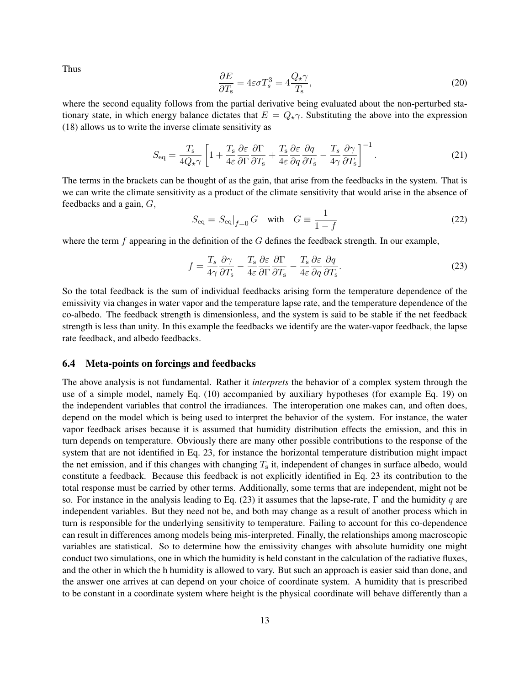Thus

$$
\frac{\partial E}{\partial T_{\rm s}} = 4\varepsilon \sigma T_s^3 = 4\frac{Q_\star \gamma}{T_{\rm s}},\tag{20}
$$

where the second equality follows from the partial derivative being evaluated about the non-perturbed stationary state, in which energy balance dictates that  $E = Q_{\star}\gamma$ . Substituting the above into the expression [\(18\)](#page-11-2) allows us to write the inverse climate sensitivity as

$$
S_{\text{eq}} = \frac{T_{\text{s}}}{4Q_{\star}\gamma} \left[ 1 + \frac{T_{\text{s}}}{4\varepsilon} \frac{\partial \varepsilon}{\partial \Gamma} \frac{\partial \Gamma}{\partial T_{\text{s}}} + \frac{T_{\text{s}}}{4\varepsilon} \frac{\partial \varepsilon}{\partial q} \frac{\partial q}{\partial T_{\text{s}}} - \frac{T_{\text{s}}}{4\gamma} \frac{\partial \gamma}{\partial T_{\text{s}}} \right]^{-1} . \tag{21}
$$

The terms in the brackets can be thought of as the gain, that arise from the feedbacks in the system. That is we can write the climate sensitivity as a product of the climate sensitivity that would arise in the absence of feedbacks and a gain, G,

$$
S_{\text{eq}} = S_{\text{eq}}|_{f=0} G \quad \text{with} \quad G \equiv \frac{1}{1-f} \tag{22}
$$

where the term  $f$  appearing in the definition of the  $G$  defines the feedback strength. In our example,

<span id="page-12-1"></span>
$$
f = \frac{T_s}{4\gamma} \frac{\partial \gamma}{\partial T_s} - \frac{T_s}{4\varepsilon} \frac{\partial \varepsilon}{\partial \Gamma} \frac{\partial \Gamma}{\partial T_s} - \frac{T_s}{4\varepsilon} \frac{\partial \varepsilon}{\partial q} \frac{\partial q}{\partial T_s}.
$$
 (23)

So the total feedback is the sum of individual feedbacks arising form the temperature dependence of the emissivity via changes in water vapor and the temperature lapse rate, and the temperature dependence of the co-albedo. The feedback strength is dimensionless, and the system is said to be stable if the net feedback strength is less than unity. In this example the feedbacks we identify are the water-vapor feedback, the lapse rate feedback, and albedo feedbacks.

#### <span id="page-12-0"></span>6.4 Meta-points on forcings and feedbacks

The above analysis is not fundamental. Rather it *interprets* the behavior of a complex system through the use of a simple model, namely Eq. [\(10\)](#page-9-3) accompanied by auxiliary hypotheses (for example Eq. [19\)](#page-11-3) on the independent variables that control the irradiances. The interoperation one makes can, and often does, depend on the model which is being used to interpret the behavior of the system. For instance, the water vapor feedback arises because it is assumed that humidity distribution effects the emission, and this in turn depends on temperature. Obviously there are many other possible contributions to the response of the system that are not identified in Eq. [23,](#page-12-1) for instance the horizontal temperature distribution might impact the net emission, and if this changes with changing  $T<sub>s</sub>$  it, independent of changes in surface albedo, would constitute a feedback. Because this feedback is not explicitly identified in Eq. [23](#page-12-1) its contribution to the total response must be carried by other terms. Additionally, some terms that are independent, might not be so. For instance in the analysis leading to Eq. [\(23\)](#page-12-1) it assumes that the lapse-rate,  $\Gamma$  and the humidity q are independent variables. But they need not be, and both may change as a result of another process which in turn is responsible for the underlying sensitivity to temperature. Failing to account for this co-dependence can result in differences among models being mis-interpreted. Finally, the relationships among macroscopic variables are statistical. So to determine how the emissivity changes with absolute humidity one might conduct two simulations, one in which the humidity is held constant in the calculation of the radiative fluxes, and the other in which the h humidity is allowed to vary. But such an approach is easier said than done, and the answer one arrives at can depend on your choice of coordinate system. A humidity that is prescribed to be constant in a coordinate system where height is the physical coordinate will behave differently than a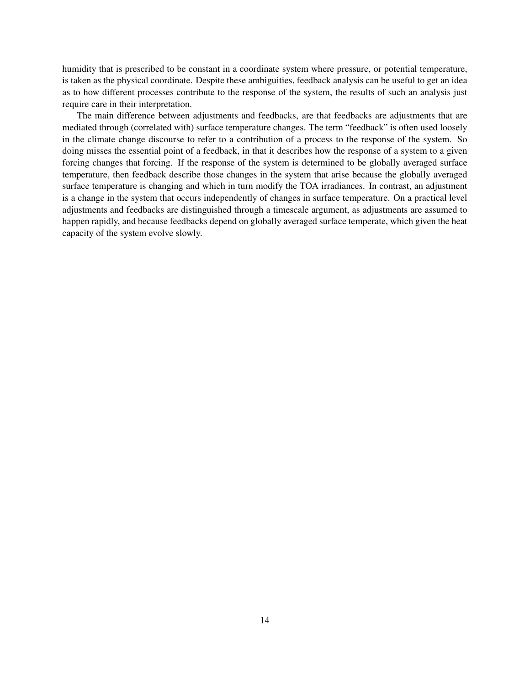humidity that is prescribed to be constant in a coordinate system where pressure, or potential temperature, is taken as the physical coordinate. Despite these ambiguities, feedback analysis can be useful to get an idea as to how different processes contribute to the response of the system, the results of such an analysis just require care in their interpretation.

The main difference between adjustments and feedbacks, are that feedbacks are adjustments that are mediated through (correlated with) surface temperature changes. The term "feedback" is often used loosely in the climate change discourse to refer to a contribution of a process to the response of the system. So doing misses the essential point of a feedback, in that it describes how the response of a system to a given forcing changes that forcing. If the response of the system is determined to be globally averaged surface temperature, then feedback describe those changes in the system that arise because the globally averaged surface temperature is changing and which in turn modify the TOA irradiances. In contrast, an adjustment is a change in the system that occurs independently of changes in surface temperature. On a practical level adjustments and feedbacks are distinguished through a timescale argument, as adjustments are assumed to happen rapidly, and because feedbacks depend on globally averaged surface temperate, which given the heat capacity of the system evolve slowly.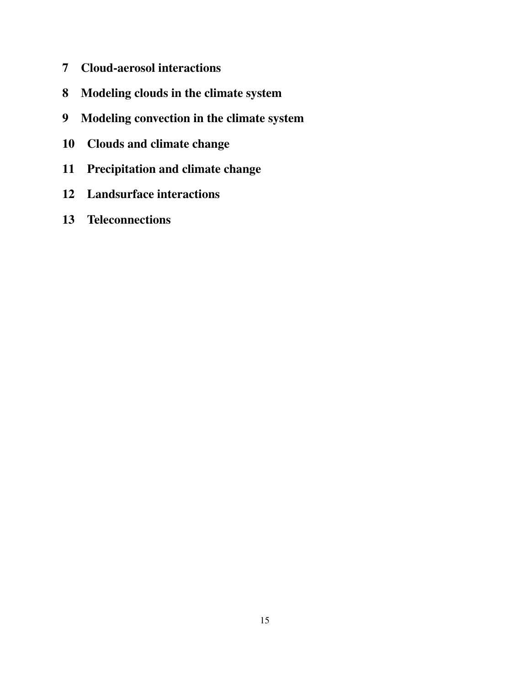- <span id="page-14-0"></span>7 Cloud-aerosol interactions
- <span id="page-14-1"></span>8 Modeling clouds in the climate system
- <span id="page-14-2"></span>9 Modeling convection in the climate system
- <span id="page-14-3"></span>10 Clouds and climate change
- <span id="page-14-4"></span>11 Precipitation and climate change
- <span id="page-14-5"></span>12 Landsurface interactions
- <span id="page-14-6"></span>13 Teleconnections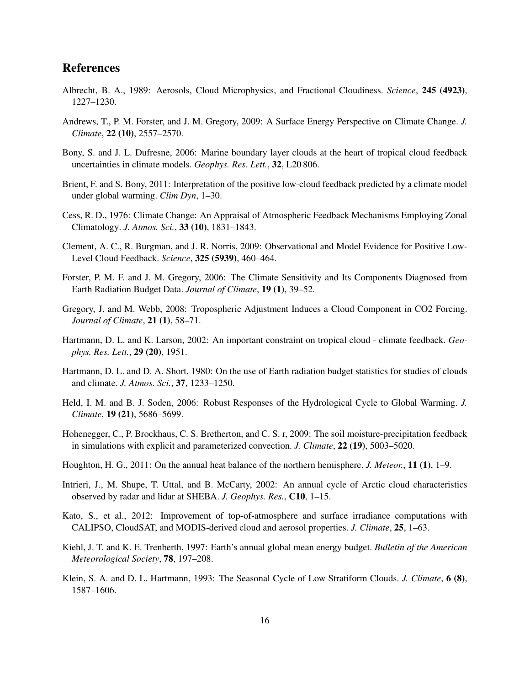## References

- <span id="page-15-15"></span>Albrecht, B. A., 1989: Aerosols, Cloud Microphysics, and Fractional Cloudiness. *Science*, 245 (4923), 1227–1230.
- <span id="page-15-9"></span>Andrews, T., P. M. Forster, and J. M. Gregory, 2009: A Surface Energy Perspective on Climate Change. *J. Climate*, 22 (10), 2557–2570.
- <span id="page-15-11"></span>Bony, S. and J. L. Dufresne, 2006: Marine boundary layer clouds at the heart of tropical cloud feedback uncertainties in climate models. *Geophys. Res. Lett.*, 32, L20 806.
- <span id="page-15-13"></span>Brient, F. and S. Bony, 2011: Interpretation of the positive low-cloud feedback predicted by a climate model under global warming. *Clim Dyn*, 1–30.
- <span id="page-15-3"></span>Cess, R. D., 1976: Climate Change: An Appraisal of Atmospheric Feedback Mechanisms Employing Zonal Climatology. *J. Atmos. Sci.*, 33 (10), 1831–1843.
- <span id="page-15-14"></span>Clement, A. C., R. Burgman, and J. R. Norris, 2009: Observational and Model Evidence for Positive Low-Level Cloud Feedback. *Science*, 325 (5939), 460–464.
- <span id="page-15-5"></span>Forster, P. M. F. and J. M. Gregory, 2006: The Climate Sensitivity and Its Components Diagnosed from Earth Radiation Budget Data. *Journal of Climate*, 19 (1), 39–52.
- <span id="page-15-6"></span>Gregory, J. and M. Webb, 2008: Tropospheric Adjustment Induces a Cloud Component in CO2 Forcing. *Journal of Climate*, 21 (1), 58–71.
- <span id="page-15-12"></span>Hartmann, D. L. and K. Larson, 2002: An important constraint on tropical cloud - climate feedback. *Geophys. Res. Lett.*, 29 (20), 1951.
- <span id="page-15-7"></span>Hartmann, D. L. and D. A. Short, 1980: On the use of Earth radiation budget statistics for studies of clouds and climate. *J. Atmos. Sci.*, 37, 1233–1250.
- <span id="page-15-10"></span>Held, I. M. and B. J. Soden, 2006: Robust Responses of the Hydrological Cycle to Global Warming. *J. Climate*, 19 (21), 5686–5699.
- <span id="page-15-16"></span>Hohenegger, C., P. Brockhaus, C. S. Bretherton, and C. S. r, 2009: The soil moisture-precipitation feedback in simulations with explicit and parameterized convection. *J. Climate*, 22 (19), 5003–5020.
- <span id="page-15-1"></span>Houghton, H. G., 2011: On the annual heat balance of the northern hemisphere. *J. Meteor.*, 11 (1), 1–9.
- <span id="page-15-4"></span>Intrieri, J., M. Shupe, T. Uttal, and B. McCarty, 2002: An annual cycle of Arctic cloud characteristics observed by radar and lidar at SHEBA. *J. Geophys. Res.*, C10, 1–15.
- <span id="page-15-0"></span>Kato, S., et al., 2012: Improvement of top-of-atmosphere and surface irradiance computations with CALIPSO, CloudSAT, and MODIS-derived cloud and aerosol properties. *J. Climate*, 25, 1–63.
- <span id="page-15-2"></span>Kiehl, J. T. and K. E. Trenberth, 1997: Earth's annual global mean energy budget. *Bulletin of the American Meteorological Society*, 78, 197–208.
- <span id="page-15-8"></span>Klein, S. A. and D. L. Hartmann, 1993: The Seasonal Cycle of Low Stratiform Clouds. *J. Climate*, 6 (8), 1587–1606.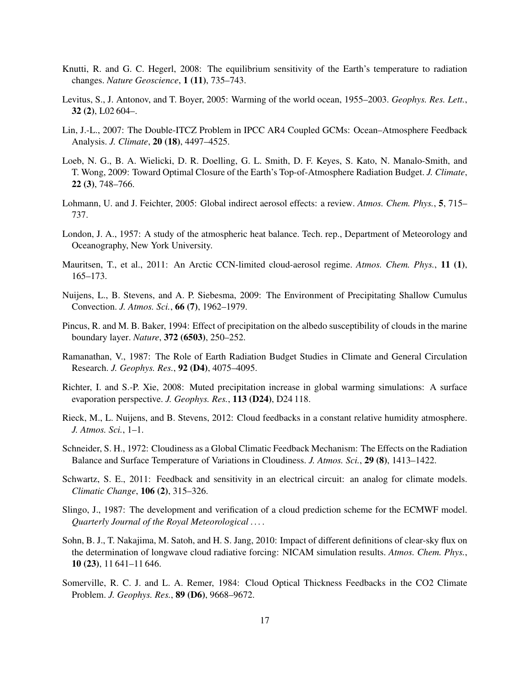- <span id="page-16-8"></span>Knutti, R. and G. C. Hegerl, 2008: The equilibrium sensitivity of the Earth's temperature to radiation changes. *Nature Geoscience*, 1 (11), 735–743.
- <span id="page-16-1"></span>Levitus, S., J. Antonov, and T. Boyer, 2005: Warming of the world ocean, 1955–2003. *Geophys. Res. Lett.*, 32 (2), L02 604–.
- <span id="page-16-12"></span>Lin, J.-L., 2007: The Double-ITCZ Problem in IPCC AR4 Coupled GCMs: Ocean–Atmosphere Feedback Analysis. *J. Climate*, 20 (18), 4497–4525.
- <span id="page-16-3"></span>Loeb, N. G., B. A. Wielicki, D. R. Doelling, G. L. Smith, D. F. Keyes, S. Kato, N. Manalo-Smith, and T. Wong, 2009: Toward Optimal Closure of the Earth's Top-of-Atmosphere Radiation Budget. *J. Climate*, 22 (3), 748–766.
- <span id="page-16-16"></span>Lohmann, U. and J. Feichter, 2005: Global indirect aerosol effects: a review. *Atmos. Chem. Phys.*, 5, 715– 737.
- <span id="page-16-2"></span>London, J. A., 1957: A study of the atmospheric heat balance. Tech. rep., Department of Meteorology and Oceanography, New York University.
- <span id="page-16-7"></span>Mauritsen, T., et al., 2011: An Arctic CCN-limited cloud-aerosol regime. *Atmos. Chem. Phys.*, 11 (1), 165–173.
- <span id="page-16-4"></span>Nuijens, L., B. Stevens, and A. P. Siebesma, 2009: The Environment of Precipitating Shallow Cumulus Convection. *J. Atmos. Sci.*, 66 (7), 1962–1979.
- <span id="page-16-15"></span>Pincus, R. and M. B. Baker, 1994: Effect of precipitation on the albedo susceptibility of clouds in the marine boundary layer. *Nature*, 372 (6503), 250–252.
- <span id="page-16-0"></span>Ramanathan, V., 1987: The Role of Earth Radiation Budget Studies in Climate and General Circulation Research. *J. Geophys. Res.*, 92 (D4), 4075–4095.
- <span id="page-16-11"></span>Richter, I. and S.-P. Xie, 2008: Muted precipitation increase in global warming simulations: A surface evaporation perspective. *J. Geophys. Res.*, 113 (D24), D24 118.
- <span id="page-16-14"></span>Rieck, M., L. Nuijens, and B. Stevens, 2012: Cloud feedbacks in a constant relative humidity atmosphere. *J. Atmos. Sci.*, 1–1.
- <span id="page-16-5"></span>Schneider, S. H., 1972: Cloudiness as a Global Climatic Feedback Mechanism: The Effects on the Radiation Balance and Surface Temperature of Variations in Cloudiness. *J. Atmos. Sci.*, 29 (8), 1413–1422.
- <span id="page-16-9"></span>Schwartz, S. E., 2011: Feedback and sensitivity in an electrical circuit: an analog for climate models. *Climatic Change*, 106 (2), 315–326.
- <span id="page-16-10"></span>Slingo, J., 1987: The development and verification of a cloud prediction scheme for the ECMWF model. *Quarterly Journal of the Royal Meteorological . . .* .
- <span id="page-16-6"></span>Sohn, B. J., T. Nakajima, M. Satoh, and H. S. Jang, 2010: Impact of different definitions of clear-sky flux on the determination of longwave cloud radiative forcing: NICAM simulation results. *Atmos. Chem. Phys.*, 10 (23), 11 641–11 646.
- <span id="page-16-13"></span>Somerville, R. C. J. and L. A. Remer, 1984: Cloud Optical Thickness Feedbacks in the CO2 Climate Problem. *J. Geophys. Res.*, 89 (D6), 9668–9672.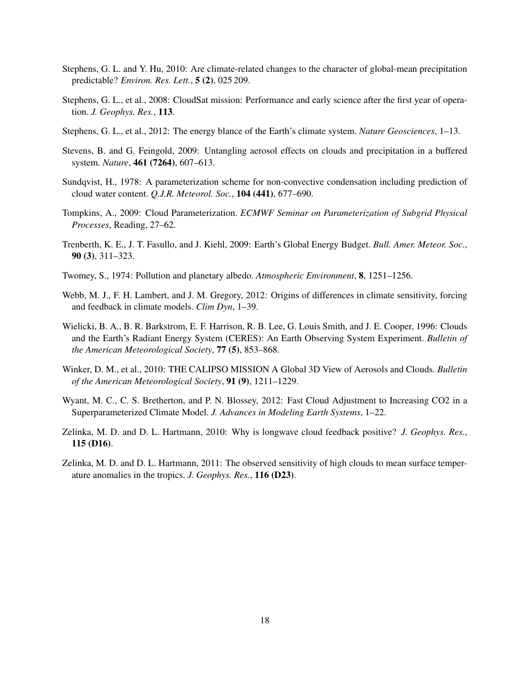- <span id="page-17-7"></span>Stephens, G. L. and Y. Hu, 2010: Are climate-related changes to the character of global-mean precipitation predictable? *Environ. Res. Lett.*, 5 (2), 025 209.
- <span id="page-17-3"></span>Stephens, G. L., et al., 2008: CloudSat mission: Performance and early science after the first year of operation. *J. Geophys. Res.*, 113.
- <span id="page-17-1"></span>Stephens, G. L., et al., 2012: The energy blance of the Earth's climate system. *Nature Geosciences*, 1–13.
- <span id="page-17-13"></span>Stevens, B. and G. Feingold, 2009: Untangling aerosol effects on clouds and precipitation in a buffered system. *Nature*, 461 (7264), 607–613.
- <span id="page-17-5"></span>Sundqvist, H., 1978: A parameterization scheme for non-convective condensation including prediction of cloud water content. *Q.J.R. Meteorol. Soc.*, 104 (441), 677–690.
- <span id="page-17-6"></span>Tompkins, A., 2009: Cloud Parameterization. *ECMWF Seminar on Parameterization of Subgrid Physical Processes*, Reading, 27–62.
- <span id="page-17-0"></span>Trenberth, K. E., J. T. Fasullo, and J. Kiehl, 2009: Earth's Global Energy Budget. *Bull. Amer. Meteor. Soc.*, 90 (3), 311–323.
- <span id="page-17-12"></span>Twomey, S., 1974: Pollution and planetary albedo. *Atmospheric Environment*, 8, 1251–1256.
- <span id="page-17-10"></span>Webb, M. J., F. H. Lambert, and J. M. Gregory, 2012: Origins of differences in climate sensitivity, forcing and feedback in climate models. *Clim Dyn*, 1–39.
- <span id="page-17-2"></span>Wielicki, B. A., B. R. Barkstrom, E. F. Harrison, R. B. Lee, G. Louis Smith, and J. E. Cooper, 1996: Clouds and the Earth's Radiant Energy System (CERES): An Earth Observing System Experiment. *Bulletin of the American Meteorological Society*, 77 (5), 853–868.
- <span id="page-17-4"></span>Winker, D. M., et al., 2010: THE CALIPSO MISSION A Global 3D View of Aerosols and Clouds. *Bulletin of the American Meteorological Society*, 91 (9), 1211–1229.
- <span id="page-17-11"></span>Wyant, M. C., C. S. Bretherton, and P. N. Blossey, 2012: Fast Cloud Adjustment to Increasing CO2 in a Superparameterized Climate Model. *J. Advances in Modeling Earth Systems*, 1–22.
- <span id="page-17-8"></span>Zelinka, M. D. and D. L. Hartmann, 2010: Why is longwave cloud feedback positive? *J. Geophys. Res.*, 115 (D16).
- <span id="page-17-9"></span>Zelinka, M. D. and D. L. Hartmann, 2011: The observed sensitivity of high clouds to mean surface temperature anomalies in the tropics. *J. Geophys. Res.*, 116 (D23).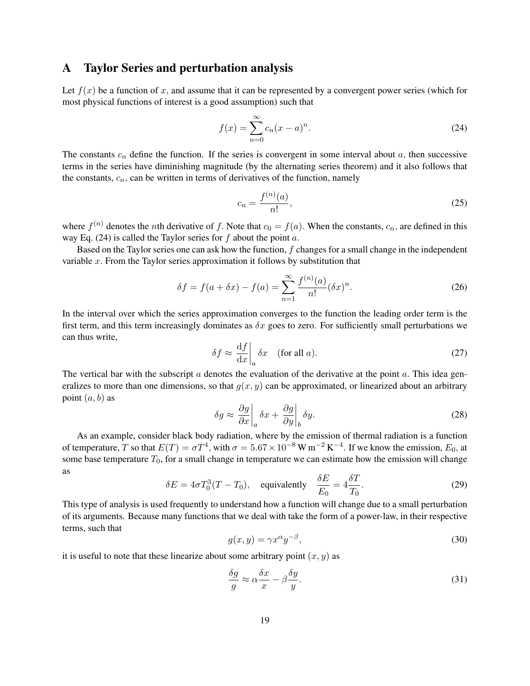## <span id="page-18-0"></span>A Taylor Series and perturbation analysis

Let  $f(x)$  be a function of x, and assume that it can be represented by a convergent power series (which for most physical functions of interest is a good assumption) such that

<span id="page-18-1"></span>
$$
f(x) = \sum_{n=0}^{\infty} c_n (x - a)^n.
$$
 (24)

The constants  $c_n$  define the function. If the series is convergent in some interval about  $a$ , then successive terms in the series have diminishing magnitude (by the alternating series theorem) and it also follows that the constants,  $c_n$ , can be written in terms of derivatives of the function, namely

$$
c_n = \frac{f^{(n)}(a)}{n!},
$$
\n(25)

where  $f^{(n)}$  denotes the *n*th derivative of f. Note that  $c_0 = f(a)$ . When the constants,  $c_n$ , are defined in this way Eq. [\(24\)](#page-18-1) is called the Taylor series for  $f$  about the point  $a$ .

Based on the Taylor series one can ask how the function, f changes for a small change in the independent variable  $x$ . From the Taylor series approximation it follows by substitution that

$$
\delta f = f(a + \delta x) - f(a) = \sum_{n=1}^{\infty} \frac{f^{(n)}(a)}{n!} (\delta x)^n.
$$
 (26)

In the interval over which the series approximation converges to the function the leading order term is the first term, and this term increasingly dominates as  $\delta x$  goes to zero. For sufficiently small perturbations we can thus write,

$$
\delta f \approx \frac{\mathrm{d}f}{\mathrm{d}x} \bigg|_a \delta x \quad \text{(for all } a\text{)}.
$$

The vertical bar with the subscript a denotes the evaluation of the derivative at the point  $\alpha$ . This idea generalizes to more than one dimensions, so that  $g(x, y)$  can be approximated, or linearized about an arbitrary point  $(a, b)$  as

$$
\delta g \approx \left. \frac{\partial g}{\partial x} \right|_a \delta x + \left. \frac{\partial g}{\partial y} \right|_b \delta y. \tag{28}
$$

As an example, consider black body radiation, where by the emission of thermal radiation is a function of temperature, T so that  $E(T) = \sigma T^4$ , with  $\sigma = 5.67 \times 10^{-8}$  W m<sup>-2</sup> K<sup>-4</sup>. If we know the emission,  $E_0$ , at some base temperature  $T_0$ , for a small change in temperature we can estimate how the emission will change as

$$
\delta E = 4\sigma T_0^3 (T - T_0), \quad \text{equivalently} \quad \frac{\delta E}{E_0} = 4 \frac{\delta T}{T_0}.
$$
 (29)

This type of analysis is used frequently to understand how a function will change due to a small perturbation of its arguments. Because many functions that we deal with take the form of a power-law, in their respective terms, such that

$$
g(x,y) = \gamma x^{\alpha} y^{-\beta},\tag{30}
$$

it is useful to note that these linearize about some arbitrary point  $(x, y)$  as

$$
\frac{\delta g}{g} \approx \alpha \frac{\delta x}{x} - \beta \frac{\delta y}{y}.\tag{31}
$$